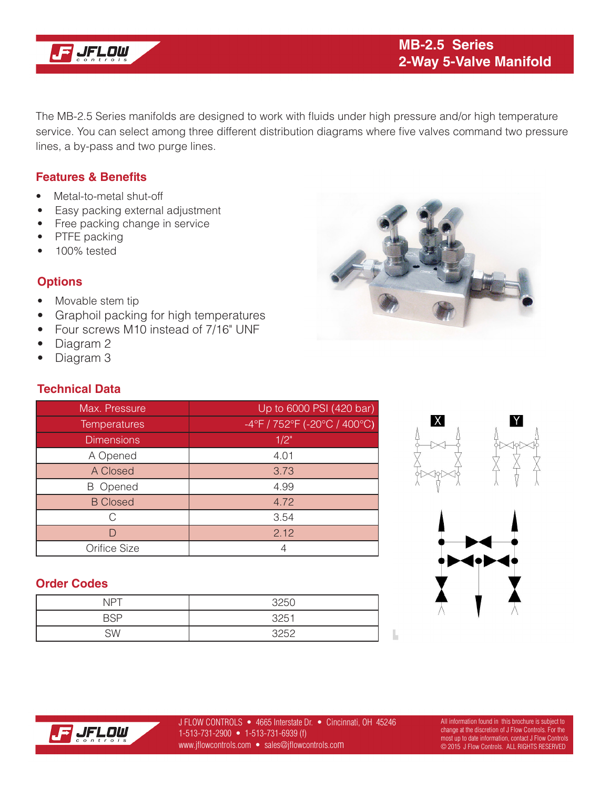

The MB-2.5 Series manifolds are designed to work with fluids under high pressure and/or high temperature service. You can select among three different distribution diagrams where five valves command two pressure lines, a by-pass and two purge lines.

## **Features & Benefits**

- Metal-to-metal shut-off
- Easy packing external adjustment
- Free packing change in service
- PTFE packing
- 100% tested

# **Options**

- Movable stem tip
- Graphoil packing for high temperatures
- Four screws M10 instead of 7/16" UNF
- Diagram 2
- Diagram 3

# **Technical Data**

| Max. Pressure       | Up to 6000 PSI (420 bar)                                                |  |
|---------------------|-------------------------------------------------------------------------|--|
| <b>Temperatures</b> | $-4^{\circ}$ F / 752 $^{\circ}$ F (-20 $^{\circ}$ C / 400 $^{\circ}$ C) |  |
| <b>Dimensions</b>   | $1/2$ "                                                                 |  |
| A Opened            | 4.01                                                                    |  |
| A Closed            | 3.73                                                                    |  |
| <b>B</b> Opened     | 4.99                                                                    |  |
| <b>B</b> Closed     | 4.72                                                                    |  |
| C                   | 3.54                                                                    |  |
|                     | 2.12                                                                    |  |
| Orifice Size        |                                                                         |  |

# $\mathbf{X}$  $\overline{Y}$



Ŀ

# **Order Codes**

| <b>NPT</b> | 3250        |  |
|------------|-------------|--|
|            | 3251        |  |
| SW         | <b>DOEO</b> |  |



J FLOW CONTROLS • 4665 Interstate Dr. • Cincinnati, OH 45246 1-513-731-2900 • 1-513-731-6939 (f) www.jflowcontrols.com • sales@jflowcontrols.com

All information found in this brochure is subject to change at the discretion of J Flow Controls. For the most up to date information, contact J Flow Controls © 2015 J Flow Controls. ALL RIGHTS RESERVED